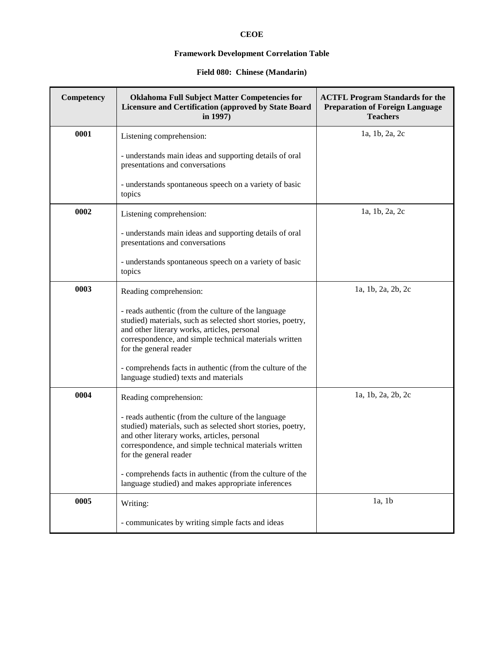# **CEOE**

## **Framework Development Correlation Table**

### **Field 080: Chinese (Mandarin)**

| Competency | <b>Oklahoma Full Subject Matter Competencies for</b><br>Licensure and Certification (approved by State Board<br>in 1997)                                                                                                                               | <b>ACTFL Program Standards for the</b><br><b>Preparation of Foreign Language</b><br><b>Teachers</b> |
|------------|--------------------------------------------------------------------------------------------------------------------------------------------------------------------------------------------------------------------------------------------------------|-----------------------------------------------------------------------------------------------------|
| 0001       | Listening comprehension:                                                                                                                                                                                                                               | 1a, 1b, 2a, 2c                                                                                      |
|            | - understands main ideas and supporting details of oral<br>presentations and conversations                                                                                                                                                             |                                                                                                     |
|            | - understands spontaneous speech on a variety of basic<br>topics                                                                                                                                                                                       |                                                                                                     |
| 0002       | Listening comprehension:                                                                                                                                                                                                                               | 1a, 1b, 2a, 2c                                                                                      |
|            | - understands main ideas and supporting details of oral<br>presentations and conversations                                                                                                                                                             |                                                                                                     |
|            | - understands spontaneous speech on a variety of basic<br>topics                                                                                                                                                                                       |                                                                                                     |
| 0003       | Reading comprehension:                                                                                                                                                                                                                                 | 1a, 1b, 2a, 2b, 2c                                                                                  |
|            | - reads authentic (from the culture of the language<br>studied) materials, such as selected short stories, poetry,<br>and other literary works, articles, personal<br>correspondence, and simple technical materials written<br>for the general reader |                                                                                                     |
|            | - comprehends facts in authentic (from the culture of the<br>language studied) texts and materials                                                                                                                                                     |                                                                                                     |
| 0004       | Reading comprehension:                                                                                                                                                                                                                                 | 1a, 1b, 2a, 2b, 2c                                                                                  |
|            | - reads authentic (from the culture of the language<br>studied) materials, such as selected short stories, poetry,<br>and other literary works, articles, personal<br>correspondence, and simple technical materials written<br>for the general reader |                                                                                                     |
|            | - comprehends facts in authentic (from the culture of the<br>language studied) and makes appropriate inferences                                                                                                                                        |                                                                                                     |
| 0005       | Writing:                                                                                                                                                                                                                                               | 1a, 1b                                                                                              |
|            | - communicates by writing simple facts and ideas                                                                                                                                                                                                       |                                                                                                     |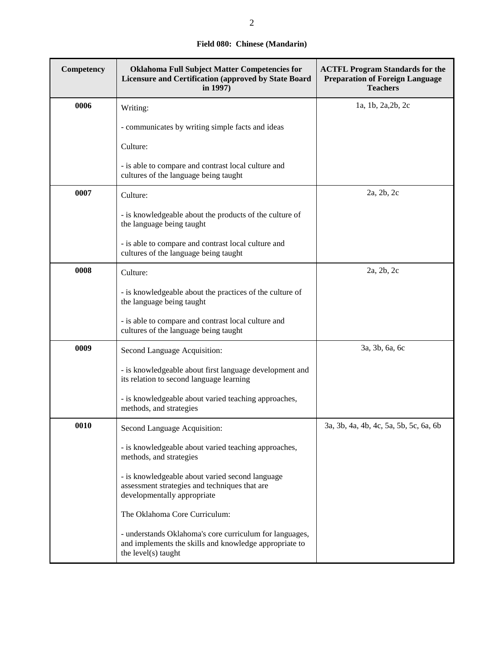## **Field 080: Chinese (Mandarin)**

| Competency | <b>Oklahoma Full Subject Matter Competencies for</b><br><b>Licensure and Certification (approved by State Board</b><br>in 1997)          | <b>ACTFL Program Standards for the</b><br><b>Preparation of Foreign Language</b><br><b>Teachers</b> |
|------------|------------------------------------------------------------------------------------------------------------------------------------------|-----------------------------------------------------------------------------------------------------|
| 0006       | Writing:                                                                                                                                 | 1a, 1b, 2a, 2b, 2c                                                                                  |
|            | - communicates by writing simple facts and ideas                                                                                         |                                                                                                     |
|            | Culture:                                                                                                                                 |                                                                                                     |
|            | - is able to compare and contrast local culture and<br>cultures of the language being taught                                             |                                                                                                     |
| 0007       | Culture:                                                                                                                                 | 2a, 2b, 2c                                                                                          |
|            | - is knowledgeable about the products of the culture of<br>the language being taught                                                     |                                                                                                     |
|            | - is able to compare and contrast local culture and<br>cultures of the language being taught                                             |                                                                                                     |
| 0008       | Culture:                                                                                                                                 | 2a, 2b, 2c                                                                                          |
|            | - is knowledgeable about the practices of the culture of<br>the language being taught                                                    |                                                                                                     |
|            | - is able to compare and contrast local culture and<br>cultures of the language being taught                                             |                                                                                                     |
| 0009       | Second Language Acquisition:                                                                                                             | 3a, 3b, 6a, 6c                                                                                      |
|            | - is knowledgeable about first language development and<br>its relation to second language learning                                      |                                                                                                     |
|            | - is knowledgeable about varied teaching approaches,<br>methods, and strategies                                                          |                                                                                                     |
| 0010       | Second Language Acquisition:                                                                                                             | 3a, 3b, 4a, 4b, 4c, 5a, 5b, 5c, 6a, 6b                                                              |
|            | - is knowledgeable about varied teaching approaches,<br>methods, and strategies                                                          |                                                                                                     |
|            | - is knowledgeable about varied second language<br>assessment strategies and techniques that are<br>developmentally appropriate          |                                                                                                     |
|            | The Oklahoma Core Curriculum:                                                                                                            |                                                                                                     |
|            | - understands Oklahoma's core curriculum for languages,<br>and implements the skills and knowledge appropriate to<br>the level(s) taught |                                                                                                     |